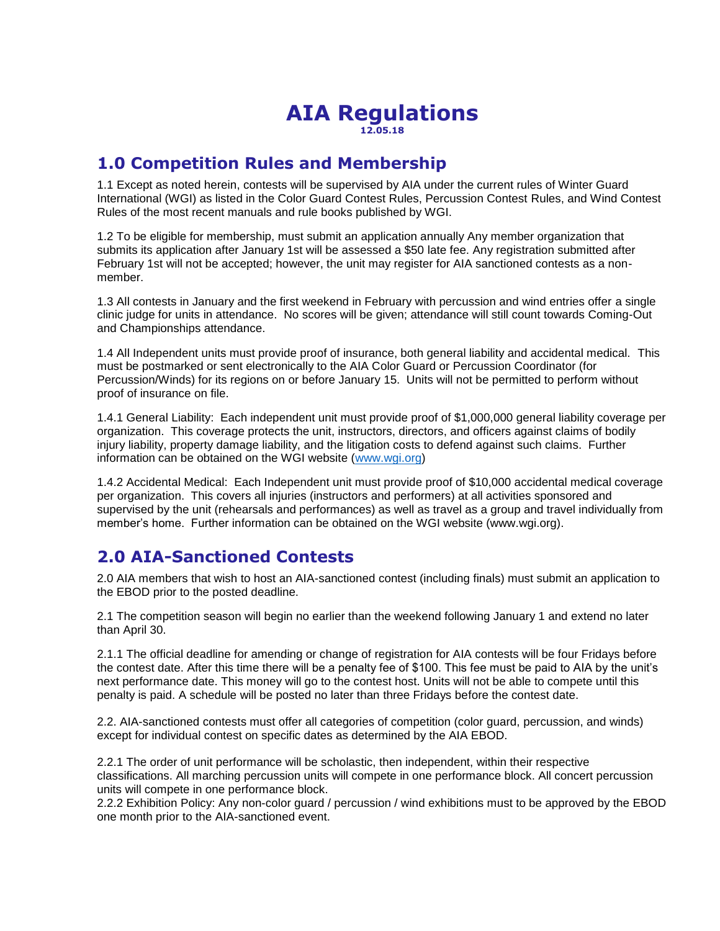### **AIA Regulations 12.05.18**

## **1.0 Competition Rules and Membership**

1.1 Except as noted herein, contests will be supervised by AIA under the current rules of Winter Guard International (WGI) as listed in the Color Guard Contest Rules, Percussion Contest Rules, and Wind Contest Rules of the most recent manuals and rule books published by WGI.

1.2 To be eligible for membership, must submit an application annually Any member organization that submits its application after January 1st will be assessed a \$50 late fee. Any registration submitted after February 1st will not be accepted; however, the unit may register for AIA sanctioned contests as a nonmember.

1.3 All contests in January and the first weekend in February with percussion and wind entries offer a single clinic judge for units in attendance. No scores will be given; attendance will still count towards Coming-Out and Championships attendance.

1.4 All Independent units must provide proof of insurance, both general liability and accidental medical. This must be postmarked or sent electronically to the AIA Color Guard or Percussion Coordinator (for Percussion/Winds) for its regions on or before January 15. Units will not be permitted to perform without proof of insurance on file.

1.4.1 General Liability: Each independent unit must provide proof of \$1,000,000 general liability coverage per organization. This coverage protects the unit, instructors, directors, and officers against claims of bodily injury liability, property damage liability, and the litigation costs to defend against such claims. Further information can be obtained on the WGI website [\(www.wgi.org\)](http://www.wgi.org/)

1.4.2 Accidental Medical: Each Independent unit must provide proof of \$10,000 accidental medical coverage per organization. This covers all injuries (instructors and performers) at all activities sponsored and supervised by the unit (rehearsals and performances) as well as travel as a group and travel individually from member's home. Further information can be obtained on the WGI website (www.wgi.org).

# **2.0 AIA-Sanctioned Contests**

2.0 AIA members that wish to host an AIA-sanctioned contest (including finals) must submit an application to the EBOD prior to the posted deadline.

2.1 The competition season will begin no earlier than the weekend following January 1 and extend no later than April 30.

2.1.1 The official deadline for amending or change of registration for AIA contests will be four Fridays before the contest date. After this time there will be a penalty fee of \$100. This fee must be paid to AIA by the unit's next performance date. This money will go to the contest host. Units will not be able to compete until this penalty is paid. A schedule will be posted no later than three Fridays before the contest date.

2.2. AIA-sanctioned contests must offer all categories of competition (color guard, percussion, and winds) except for individual contest on specific dates as determined by the AIA EBOD.

2.2.1 The order of unit performance will be scholastic, then independent, within their respective classifications. All marching percussion units will compete in one performance block. All concert percussion units will compete in one performance block.

2.2.2 Exhibition Policy: Any non-color guard / percussion / wind exhibitions must to be approved by the EBOD one month prior to the AIA-sanctioned event.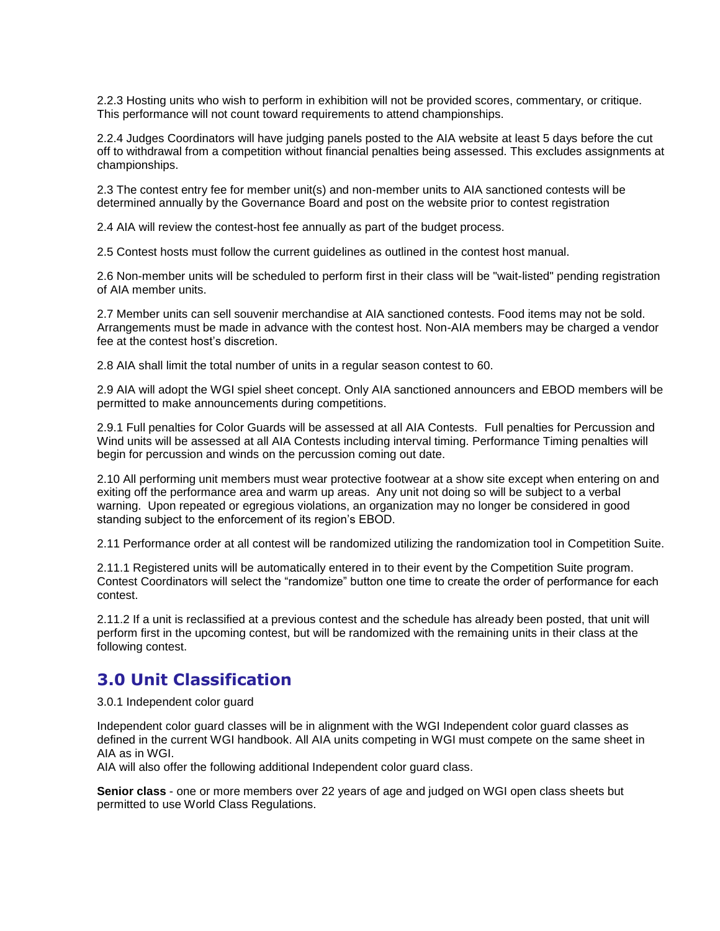2.2.3 Hosting units who wish to perform in exhibition will not be provided scores, commentary, or critique. This performance will not count toward requirements to attend championships.

2.2.4 Judges Coordinators will have judging panels posted to the AIA website at least 5 days before the cut off to withdrawal from a competition without financial penalties being assessed. This excludes assignments at championships.

2.3 The contest entry fee for member unit(s) and non-member units to AIA sanctioned contests will be determined annually by the Governance Board and post on the website prior to contest registration

2.4 AIA will review the contest-host fee annually as part of the budget process.

2.5 Contest hosts must follow the current guidelines as outlined in the contest host manual.

2.6 Non-member units will be scheduled to perform first in their class will be "wait-listed" pending registration of AIA member units.

2.7 Member units can sell souvenir merchandise at AIA sanctioned contests. Food items may not be sold. Arrangements must be made in advance with the contest host. Non-AIA members may be charged a vendor fee at the contest host's discretion.

2.8 AIA shall limit the total number of units in a regular season contest to 60.

2.9 AIA will adopt the WGI spiel sheet concept. Only AIA sanctioned announcers and EBOD members will be permitted to make announcements during competitions.

2.9.1 Full penalties for Color Guards will be assessed at all AIA Contests. Full penalties for Percussion and Wind units will be assessed at all AIA Contests including interval timing. Performance Timing penalties will begin for percussion and winds on the percussion coming out date.

2.10 All performing unit members must wear protective footwear at a show site except when entering on and exiting off the performance area and warm up areas. Any unit not doing so will be subject to a verbal warning. Upon repeated or egregious violations, an organization may no longer be considered in good standing subject to the enforcement of its region's EBOD.

2.11 Performance order at all contest will be randomized utilizing the randomization tool in Competition Suite.

2.11.1 Registered units will be automatically entered in to their event by the Competition Suite program. Contest Coordinators will select the "randomize" button one time to create the order of performance for each contest.

2.11.2 If a unit is reclassified at a previous contest and the schedule has already been posted, that unit will perform first in the upcoming contest, but will be randomized with the remaining units in their class at the following contest.

### **3.0 Unit Classification**

3.0.1 Independent color guard

Independent color guard classes will be in alignment with the WGI Independent color guard classes as defined in the current WGI handbook. All AIA units competing in WGI must compete on the same sheet in AIA as in WGI.

AIA will also offer the following additional Independent color guard class.

**Senior class** - one or more members over 22 years of age and judged on WGI open class sheets but permitted to use World Class Regulations.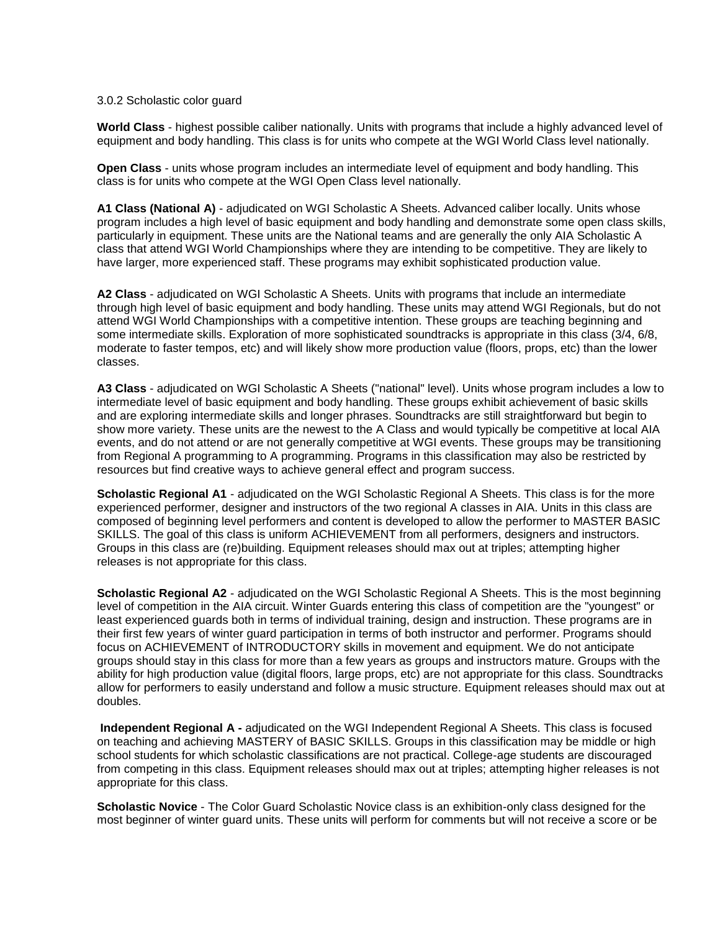#### 3.0.2 Scholastic color guard

**World Class** - highest possible caliber nationally. Units with programs that include a highly advanced level of equipment and body handling. This class is for units who compete at the WGI World Class level nationally.

**Open Class** - units whose program includes an intermediate level of equipment and body handling. This class is for units who compete at the WGI Open Class level nationally.

**A1 Class (National A)** - adjudicated on WGI Scholastic A Sheets. Advanced caliber locally. Units whose program includes a high level of basic equipment and body handling and demonstrate some open class skills, particularly in equipment. These units are the National teams and are generally the only AIA Scholastic A class that attend WGI World Championships where they are intending to be competitive. They are likely to have larger, more experienced staff. These programs may exhibit sophisticated production value.

**A2 Class** - adjudicated on WGI Scholastic A Sheets. Units with programs that include an intermediate through high level of basic equipment and body handling. These units may attend WGI Regionals, but do not attend WGI World Championships with a competitive intention. These groups are teaching beginning and some intermediate skills. Exploration of more sophisticated soundtracks is appropriate in this class (3/4, 6/8, moderate to faster tempos, etc) and will likely show more production value (floors, props, etc) than the lower classes.

**A3 Class** - adjudicated on WGI Scholastic A Sheets ("national" level). Units whose program includes a low to intermediate level of basic equipment and body handling. These groups exhibit achievement of basic skills and are exploring intermediate skills and longer phrases. Soundtracks are still straightforward but begin to show more variety. These units are the newest to the A Class and would typically be competitive at local AIA events, and do not attend or are not generally competitive at WGI events. These groups may be transitioning from Regional A programming to A programming. Programs in this classification may also be restricted by resources but find creative ways to achieve general effect and program success.

**Scholastic Regional A1** - adjudicated on the WGI Scholastic Regional A Sheets. This class is for the more experienced performer, designer and instructors of the two regional A classes in AIA. Units in this class are composed of beginning level performers and content is developed to allow the performer to MASTER BASIC SKILLS. The goal of this class is uniform ACHIEVEMENT from all performers, designers and instructors. Groups in this class are (re)building. Equipment releases should max out at triples; attempting higher releases is not appropriate for this class.

**Scholastic Regional A2** - adjudicated on the WGI Scholastic Regional A Sheets. This is the most beginning level of competition in the AIA circuit. Winter Guards entering this class of competition are the "youngest" or least experienced guards both in terms of individual training, design and instruction. These programs are in their first few years of winter guard participation in terms of both instructor and performer. Programs should focus on ACHIEVEMENT of INTRODUCTORY skills in movement and equipment. We do not anticipate groups should stay in this class for more than a few years as groups and instructors mature. Groups with the ability for high production value (digital floors, large props, etc) are not appropriate for this class. Soundtracks allow for performers to easily understand and follow a music structure. Equipment releases should max out at doubles.

**Independent Regional A -** adjudicated on the WGI Independent Regional A Sheets. This class is focused on teaching and achieving MASTERY of BASIC SKILLS. Groups in this classification may be middle or high school students for which scholastic classifications are not practical. College-age students are discouraged from competing in this class. Equipment releases should max out at triples; attempting higher releases is not appropriate for this class.

**Scholastic Novice** - The Color Guard Scholastic Novice class is an exhibition-only class designed for the most beginner of winter guard units. These units will perform for comments but will not receive a score or be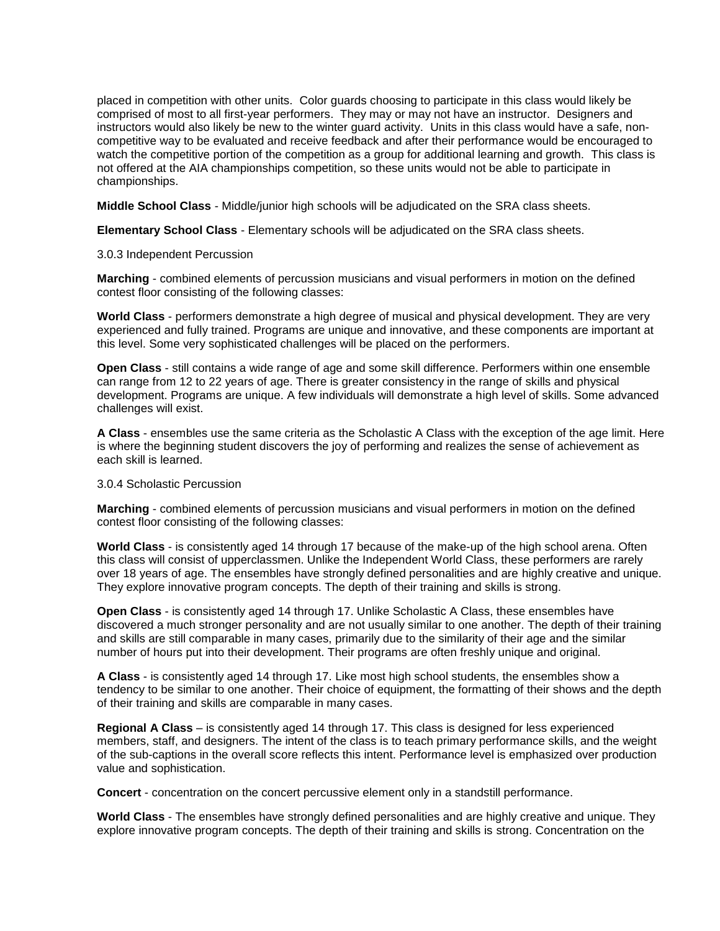placed in competition with other units. Color guards choosing to participate in this class would likely be comprised of most to all first-year performers. They may or may not have an instructor. Designers and instructors would also likely be new to the winter guard activity. Units in this class would have a safe, noncompetitive way to be evaluated and receive feedback and after their performance would be encouraged to watch the competitive portion of the competition as a group for additional learning and growth. This class is not offered at the AIA championships competition, so these units would not be able to participate in championships.

**Middle School Class** - Middle/junior high schools will be adjudicated on the SRA class sheets.

**Elementary School Class** - Elementary schools will be adjudicated on the SRA class sheets.

3.0.3 Independent Percussion

**Marching** - combined elements of percussion musicians and visual performers in motion on the defined contest floor consisting of the following classes:

**World Class** - performers demonstrate a high degree of musical and physical development. They are very experienced and fully trained. Programs are unique and innovative, and these components are important at this level. Some very sophisticated challenges will be placed on the performers.

**Open Class** - still contains a wide range of age and some skill difference. Performers within one ensemble can range from 12 to 22 years of age. There is greater consistency in the range of skills and physical development. Programs are unique. A few individuals will demonstrate a high level of skills. Some advanced challenges will exist.

**A Class** - ensembles use the same criteria as the Scholastic A Class with the exception of the age limit. Here is where the beginning student discovers the joy of performing and realizes the sense of achievement as each skill is learned.

3.0.4 Scholastic Percussion

**Marching** - combined elements of percussion musicians and visual performers in motion on the defined contest floor consisting of the following classes:

**World Class** - is consistently aged 14 through 17 because of the make-up of the high school arena. Often this class will consist of upperclassmen. Unlike the Independent World Class, these performers are rarely over 18 years of age. The ensembles have strongly defined personalities and are highly creative and unique. They explore innovative program concepts. The depth of their training and skills is strong.

**Open Class** - is consistently aged 14 through 17. Unlike Scholastic A Class, these ensembles have discovered a much stronger personality and are not usually similar to one another. The depth of their training and skills are still comparable in many cases, primarily due to the similarity of their age and the similar number of hours put into their development. Their programs are often freshly unique and original.

**A Class** - is consistently aged 14 through 17. Like most high school students, the ensembles show a tendency to be similar to one another. Their choice of equipment, the formatting of their shows and the depth of their training and skills are comparable in many cases.

**Regional A Class** – is consistently aged 14 through 17. This class is designed for less experienced members, staff, and designers. The intent of the class is to teach primary performance skills, and the weight of the sub-captions in the overall score reflects this intent. Performance level is emphasized over production value and sophistication.

**Concert** - concentration on the concert percussive element only in a standstill performance.

**World Class** - The ensembles have strongly defined personalities and are highly creative and unique. They explore innovative program concepts. The depth of their training and skills is strong. Concentration on the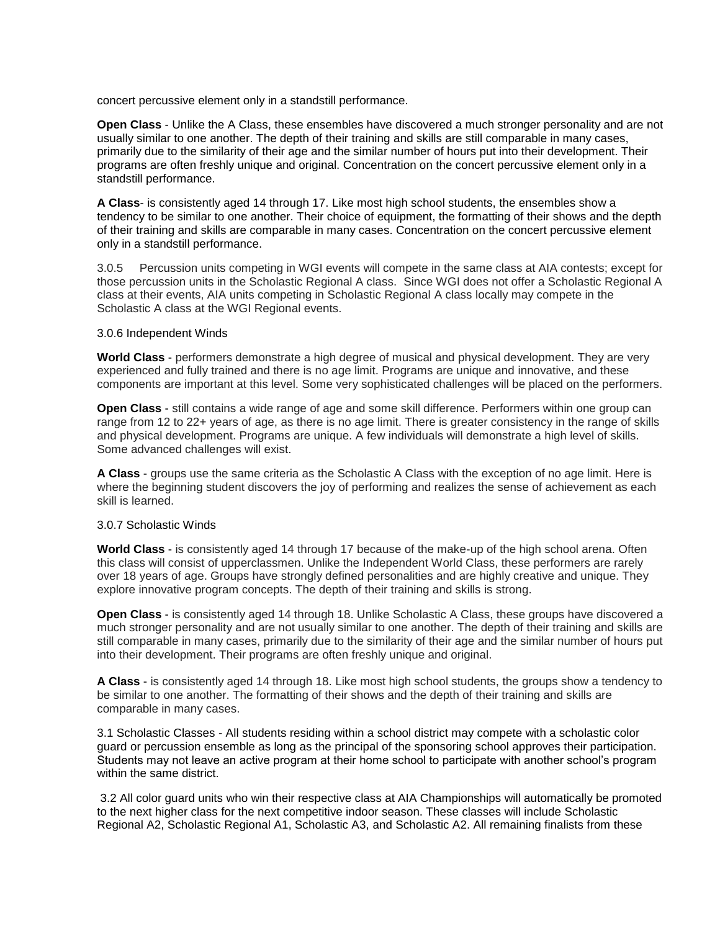concert percussive element only in a standstill performance.

**Open Class** - Unlike the A Class, these ensembles have discovered a much stronger personality and are not usually similar to one another. The depth of their training and skills are still comparable in many cases, primarily due to the similarity of their age and the similar number of hours put into their development. Their programs are often freshly unique and original. Concentration on the concert percussive element only in a standstill performance.

**A Class**- is consistently aged 14 through 17. Like most high school students, the ensembles show a tendency to be similar to one another. Their choice of equipment, the formatting of their shows and the depth of their training and skills are comparable in many cases. Concentration on the concert percussive element only in a standstill performance.

3.0.5 Percussion units competing in WGI events will compete in the same class at AIA contests; except for those percussion units in the Scholastic Regional A class. Since WGI does not offer a Scholastic Regional A class at their events, AIA units competing in Scholastic Regional A class locally may compete in the Scholastic A class at the WGI Regional events.

#### 3.0.6 Independent Winds

**World Class** - performers demonstrate a high degree of musical and physical development. They are very experienced and fully trained and there is no age limit. Programs are unique and innovative, and these components are important at this level. Some very sophisticated challenges will be placed on the performers.

**Open Class** - still contains a wide range of age and some skill difference. Performers within one group can range from 12 to 22+ years of age, as there is no age limit. There is greater consistency in the range of skills and physical development. Programs are unique. A few individuals will demonstrate a high level of skills. Some advanced challenges will exist.

**A Class** - groups use the same criteria as the Scholastic A Class with the exception of no age limit. Here is where the beginning student discovers the joy of performing and realizes the sense of achievement as each skill is learned.

#### 3.0.7 Scholastic Winds

**World Class** - is consistently aged 14 through 17 because of the make-up of the high school arena. Often this class will consist of upperclassmen. Unlike the Independent World Class, these performers are rarely over 18 years of age. Groups have strongly defined personalities and are highly creative and unique. They explore innovative program concepts. The depth of their training and skills is strong.

**Open Class** - is consistently aged 14 through 18. Unlike Scholastic A Class, these groups have discovered a much stronger personality and are not usually similar to one another. The depth of their training and skills are still comparable in many cases, primarily due to the similarity of their age and the similar number of hours put into their development. Their programs are often freshly unique and original.

**A Class** - is consistently aged 14 through 18. Like most high school students, the groups show a tendency to be similar to one another. The formatting of their shows and the depth of their training and skills are comparable in many cases.

3.1 Scholastic Classes - All students residing within a school district may compete with a scholastic color guard or percussion ensemble as long as the principal of the sponsoring school approves their participation. Students may not leave an active program at their home school to participate with another school's program within the same district.

3.2 All color guard units who win their respective class at AIA Championships will automatically be promoted to the next higher class for the next competitive indoor season. These classes will include Scholastic Regional A2, Scholastic Regional A1, Scholastic A3, and Scholastic A2. All remaining finalists from these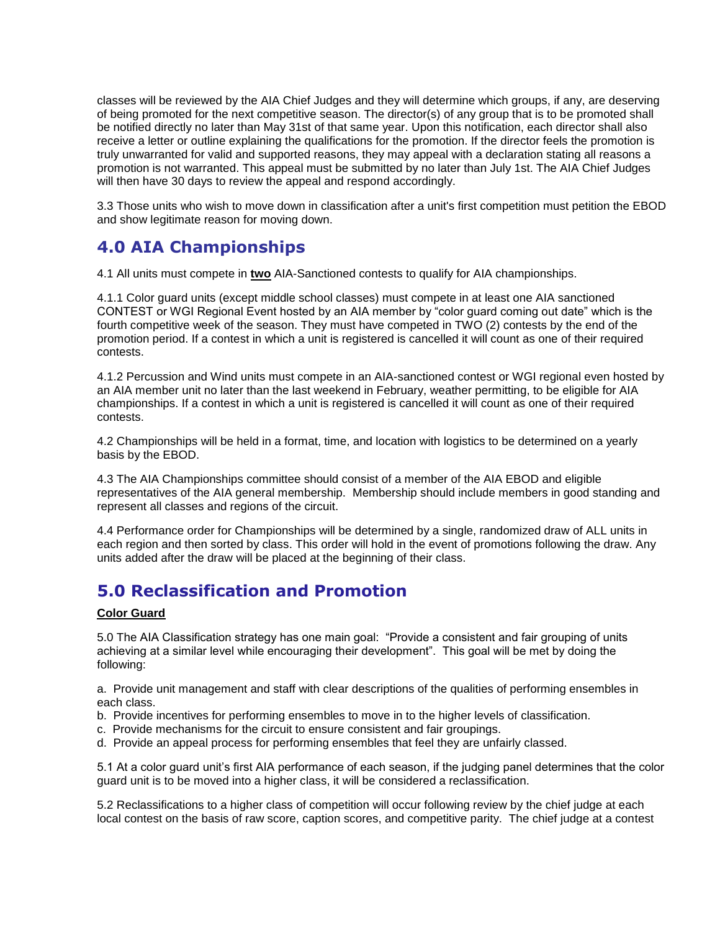classes will be reviewed by the AIA Chief Judges and they will determine which groups, if any, are deserving of being promoted for the next competitive season. The director(s) of any group that is to be promoted shall be notified directly no later than May 31st of that same year. Upon this notification, each director shall also receive a letter or outline explaining the qualifications for the promotion. If the director feels the promotion is truly unwarranted for valid and supported reasons, they may appeal with a declaration stating all reasons a promotion is not warranted. This appeal must be submitted by no later than July 1st. The AIA Chief Judges will then have 30 days to review the appeal and respond accordingly.

3.3 Those units who wish to move down in classification after a unit's first competition must petition the EBOD and show legitimate reason for moving down.

# **4.0 AIA Championships**

4.1 All units must compete in **two** AIA-Sanctioned contests to qualify for AIA championships.

4.1.1 Color guard units (except middle school classes) must compete in at least one AIA sanctioned CONTEST or WGI Regional Event hosted by an AIA member by "color guard coming out date" which is the fourth competitive week of the season. They must have competed in TWO (2) contests by the end of the promotion period. If a contest in which a unit is registered is cancelled it will count as one of their required contests.

4.1.2 Percussion and Wind units must compete in an AIA-sanctioned contest or WGI regional even hosted by an AIA member unit no later than the last weekend in February, weather permitting, to be eligible for AIA championships. If a contest in which a unit is registered is cancelled it will count as one of their required contests.

4.2 Championships will be held in a format, time, and location with logistics to be determined on a yearly basis by the EBOD.

4.3 The AIA Championships committee should consist of a member of the AIA EBOD and eligible representatives of the AIA general membership. Membership should include members in good standing and represent all classes and regions of the circuit.

4.4 Performance order for Championships will be determined by a single, randomized draw of ALL units in each region and then sorted by class. This order will hold in the event of promotions following the draw. Any units added after the draw will be placed at the beginning of their class.

# **5.0 Reclassification and Promotion**

### **Color Guard**

5.0 The AIA Classification strategy has one main goal: "Provide a consistent and fair grouping of units achieving at a similar level while encouraging their development". This goal will be met by doing the following:

a. Provide unit management and staff with clear descriptions of the qualities of performing ensembles in each class.

- b. Provide incentives for performing ensembles to move in to the higher levels of classification.
- c. Provide mechanisms for the circuit to ensure consistent and fair groupings.
- d. Provide an appeal process for performing ensembles that feel they are unfairly classed.

5.1 At a color guard unit's first AIA performance of each season, if the judging panel determines that the color guard unit is to be moved into a higher class, it will be considered a reclassification.

5.2 Reclassifications to a higher class of competition will occur following review by the chief judge at each local contest on the basis of raw score, caption scores, and competitive parity. The chief judge at a contest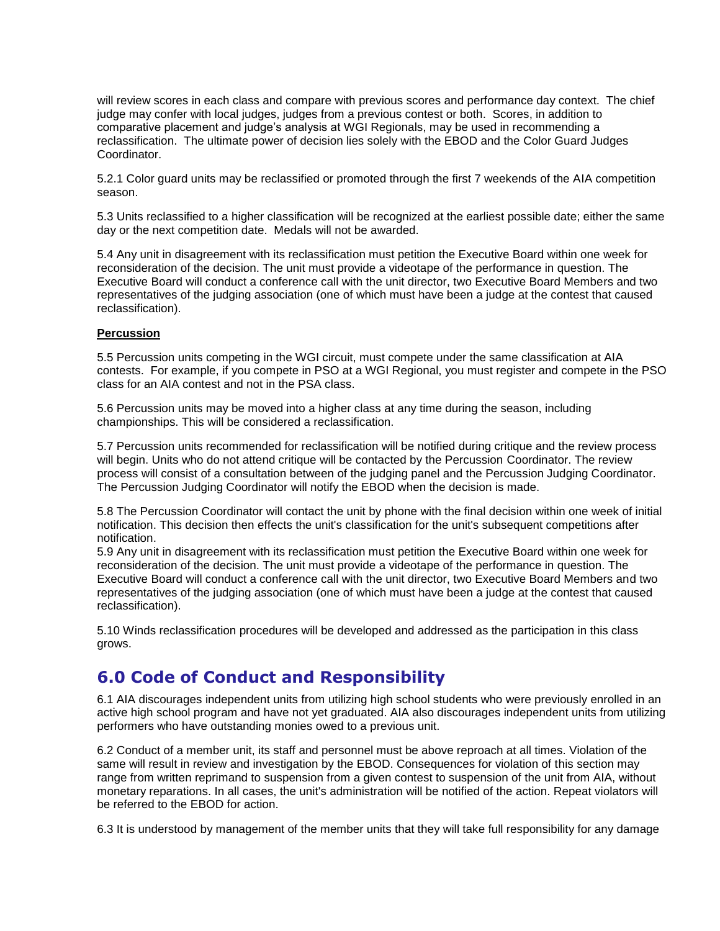will review scores in each class and compare with previous scores and performance day context. The chief judge may confer with local judges, judges from a previous contest or both. Scores, in addition to comparative placement and judge's analysis at WGI Regionals, may be used in recommending a reclassification. The ultimate power of decision lies solely with the EBOD and the Color Guard Judges Coordinator.

5.2.1 Color guard units may be reclassified or promoted through the first 7 weekends of the AIA competition season.

5.3 Units reclassified to a higher classification will be recognized at the earliest possible date; either the same day or the next competition date. Medals will not be awarded.

5.4 Any unit in disagreement with its reclassification must petition the Executive Board within one week for reconsideration of the decision. The unit must provide a videotape of the performance in question. The Executive Board will conduct a conference call with the unit director, two Executive Board Members and two representatives of the judging association (one of which must have been a judge at the contest that caused reclassification).

### **Percussion**

5.5 Percussion units competing in the WGI circuit, must compete under the same classification at AIA contests. For example, if you compete in PSO at a WGI Regional, you must register and compete in the PSO class for an AIA contest and not in the PSA class.

5.6 Percussion units may be moved into a higher class at any time during the season, including championships. This will be considered a reclassification.

5.7 Percussion units recommended for reclassification will be notified during critique and the review process will begin. Units who do not attend critique will be contacted by the Percussion Coordinator. The review process will consist of a consultation between of the judging panel and the Percussion Judging Coordinator. The Percussion Judging Coordinator will notify the EBOD when the decision is made.

5.8 The Percussion Coordinator will contact the unit by phone with the final decision within one week of initial notification. This decision then effects the unit's classification for the unit's subsequent competitions after notification.

5.9 Any unit in disagreement with its reclassification must petition the Executive Board within one week for reconsideration of the decision. The unit must provide a videotape of the performance in question. The Executive Board will conduct a conference call with the unit director, two Executive Board Members and two representatives of the judging association (one of which must have been a judge at the contest that caused reclassification).

5.10 Winds reclassification procedures will be developed and addressed as the participation in this class grows.

### **6.0 Code of Conduct and Responsibility**

6.1 AIA discourages independent units from utilizing high school students who were previously enrolled in an active high school program and have not yet graduated. AIA also discourages independent units from utilizing performers who have outstanding monies owed to a previous unit.

6.2 Conduct of a member unit, its staff and personnel must be above reproach at all times. Violation of the same will result in review and investigation by the EBOD. Consequences for violation of this section may range from written reprimand to suspension from a given contest to suspension of the unit from AIA, without monetary reparations. In all cases, the unit's administration will be notified of the action. Repeat violators will be referred to the EBOD for action.

6.3 It is understood by management of the member units that they will take full responsibility for any damage